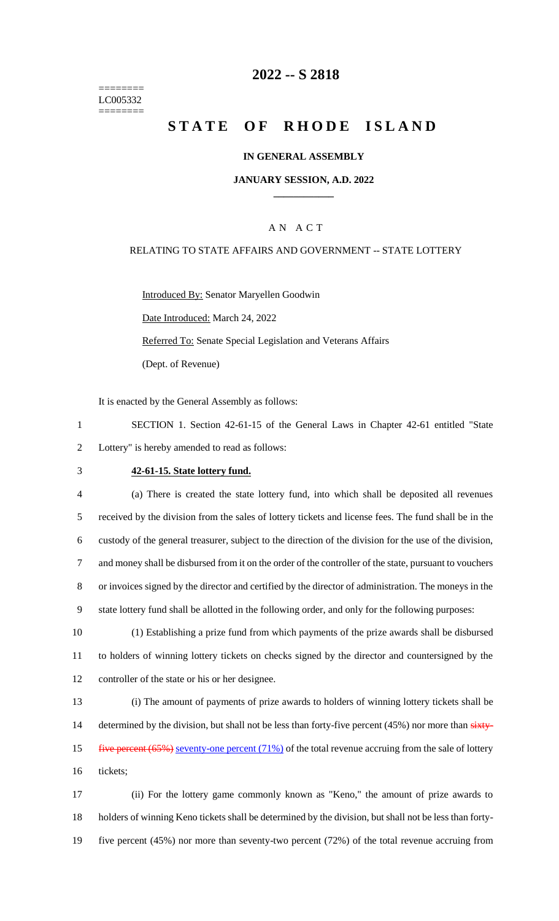======== LC005332 ========

## **2022 -- S 2818**

# **STATE OF RHODE ISLAND**

#### **IN GENERAL ASSEMBLY**

### **JANUARY SESSION, A.D. 2022 \_\_\_\_\_\_\_\_\_\_\_\_**

### A N A C T

#### RELATING TO STATE AFFAIRS AND GOVERNMENT -- STATE LOTTERY

Introduced By: Senator Maryellen Goodwin Date Introduced: March 24, 2022 Referred To: Senate Special Legislation and Veterans Affairs (Dept. of Revenue)

It is enacted by the General Assembly as follows:

1 SECTION 1. Section 42-61-15 of the General Laws in Chapter 42-61 entitled "State 2 Lottery" is hereby amended to read as follows:

#### 3 **42-61-15. State lottery fund.**

 (a) There is created the state lottery fund, into which shall be deposited all revenues received by the division from the sales of lottery tickets and license fees. The fund shall be in the custody of the general treasurer, subject to the direction of the division for the use of the division, and money shall be disbursed from it on the order of the controller of the state, pursuant to vouchers or invoices signed by the director and certified by the director of administration. The moneys in the state lottery fund shall be allotted in the following order, and only for the following purposes:

10 (1) Establishing a prize fund from which payments of the prize awards shall be disbursed 11 to holders of winning lottery tickets on checks signed by the director and countersigned by the 12 controller of the state or his or her designee.

13 (i) The amount of payments of prize awards to holders of winning lottery tickets shall be 14 determined by the division, but shall not be less than forty-five percent (45%) nor more than sixty-15 five percent (65%) seventy-one percent (71%) of the total revenue accruing from the sale of lottery 16 tickets;

17 (ii) For the lottery game commonly known as "Keno," the amount of prize awards to 18 holders of winning Keno tickets shall be determined by the division, but shall not be less than forty-19 five percent (45%) nor more than seventy-two percent (72%) of the total revenue accruing from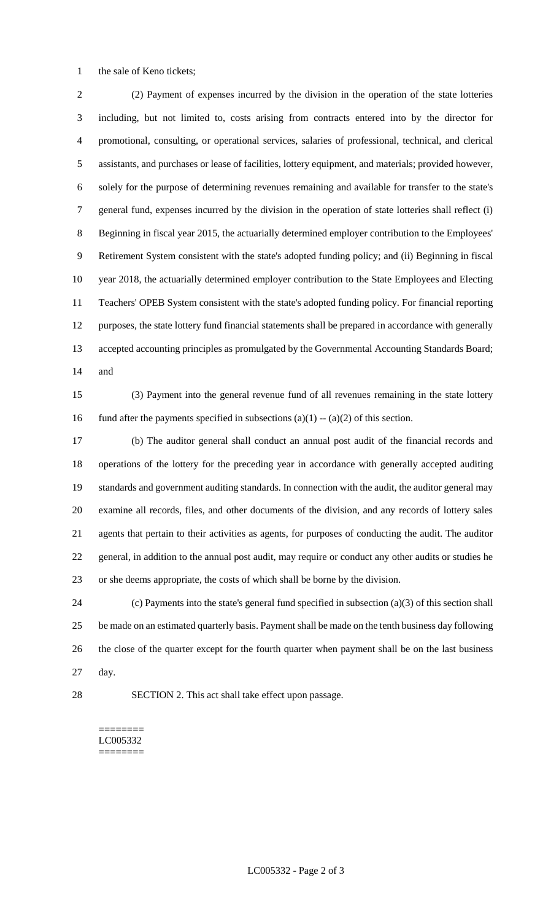the sale of Keno tickets;

 (2) Payment of expenses incurred by the division in the operation of the state lotteries including, but not limited to, costs arising from contracts entered into by the director for promotional, consulting, or operational services, salaries of professional, technical, and clerical assistants, and purchases or lease of facilities, lottery equipment, and materials; provided however, solely for the purpose of determining revenues remaining and available for transfer to the state's general fund, expenses incurred by the division in the operation of state lotteries shall reflect (i) Beginning in fiscal year 2015, the actuarially determined employer contribution to the Employees' Retirement System consistent with the state's adopted funding policy; and (ii) Beginning in fiscal year 2018, the actuarially determined employer contribution to the State Employees and Electing Teachers' OPEB System consistent with the state's adopted funding policy. For financial reporting purposes, the state lottery fund financial statements shall be prepared in accordance with generally accepted accounting principles as promulgated by the Governmental Accounting Standards Board; and

 (3) Payment into the general revenue fund of all revenues remaining in the state lottery 16 fund after the payments specified in subsections  $(a)(1) - (a)(2)$  of this section.

 (b) The auditor general shall conduct an annual post audit of the financial records and operations of the lottery for the preceding year in accordance with generally accepted auditing standards and government auditing standards. In connection with the audit, the auditor general may examine all records, files, and other documents of the division, and any records of lottery sales agents that pertain to their activities as agents, for purposes of conducting the audit. The auditor general, in addition to the annual post audit, may require or conduct any other audits or studies he or she deems appropriate, the costs of which shall be borne by the division.

 (c) Payments into the state's general fund specified in subsection (a)(3) of this section shall be made on an estimated quarterly basis. Payment shall be made on the tenth business day following the close of the quarter except for the fourth quarter when payment shall be on the last business day.

SECTION 2. This act shall take effect upon passage.

======== LC005332 ========